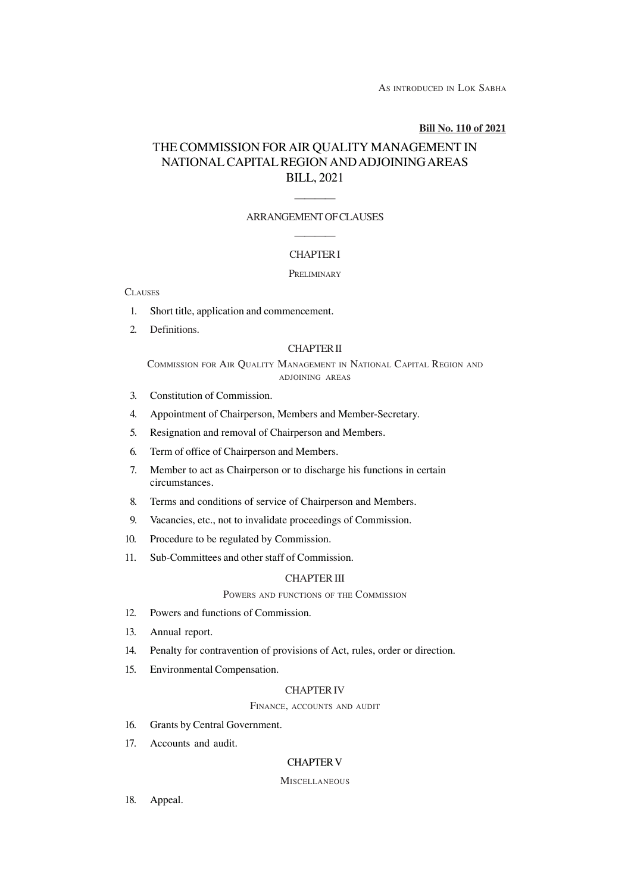AS INTRODUCED IN LOK SABHA

## **Bill No. 110 of 2021**

# THE COMMISSION FOR AIR QUALITY MANAGEMENT IN NATIONAL CAPITAL REGION AND ADJOINING AREAS BILL, 2021

# ———— ARRANGEMENT OF CLAUSES

# ———— CHAPTER I

### **PRELIMINARY**

**CLAUSES** 

- 1. Short title, application and commencement.
- 2. Definitions.

### CHAPTER II

COMMISSION FOR AIR QUALITY MANAGEMENT IN NATIONAL CAPITAL REGION AND ADJOINING AREAS

- 3. Constitution of Commission.
- 4. Appointment of Chairperson, Members and Member-Secretary.
- 5. Resignation and removal of Chairperson and Members.
- 6. Term of office of Chairperson and Members.
- 7. Member to act as Chairperson or to discharge his functions in certain circumstances.
- 8. Terms and conditions of service of Chairperson and Members.
- 9. Vacancies, etc., not to invalidate proceedings of Commission.
- 10. Procedure to be regulated by Commission.
- 11. Sub-Committees and other staff of Commission.

# CHAPTER III

POWERS AND FUNCTIONS OF THE COMMISSION

- 12. Powers and functions of Commission.
- 13. Annual report.
- 14. Penalty for contravention of provisions of Act, rules, order or direction.
- 15. Environmental Compensation.

# CHAPTER IV

FINANCE, ACCOUNTS AND AUDIT

- 16. Grants by Central Government.
- 17. Accounts and audit.

## CHAPTER V

### **MISCELLANEOUS**

18. Appeal.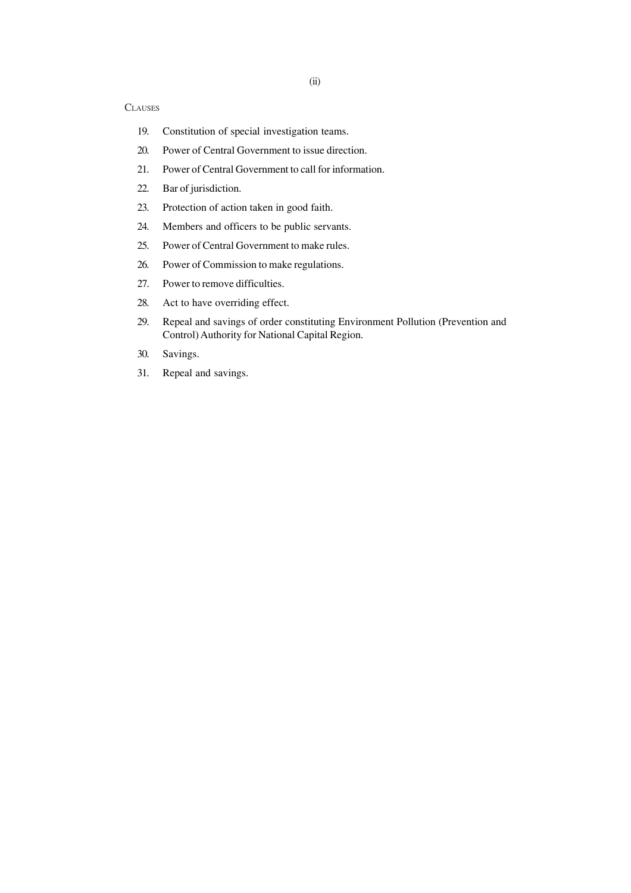# **CLAUSES**

- 19. Constitution of special investigation teams.
- 20. Power of Central Government to issue direction.
- 21. Power of Central Government to call for information.
- 22. Bar of jurisdiction.
- 23. Protection of action taken in good faith.
- 24. Members and officers to be public servants.
- 25. Power of Central Government to make rules.
- 26. Power of Commission to make regulations.
- 27. Power to remove difficulties.
- 28. Act to have overriding effect.
- 29. Repeal and savings of order constituting Environment Pollution (Prevention and Control) Authority for National Capital Region.
- 30. Savings.
- 31. Repeal and savings.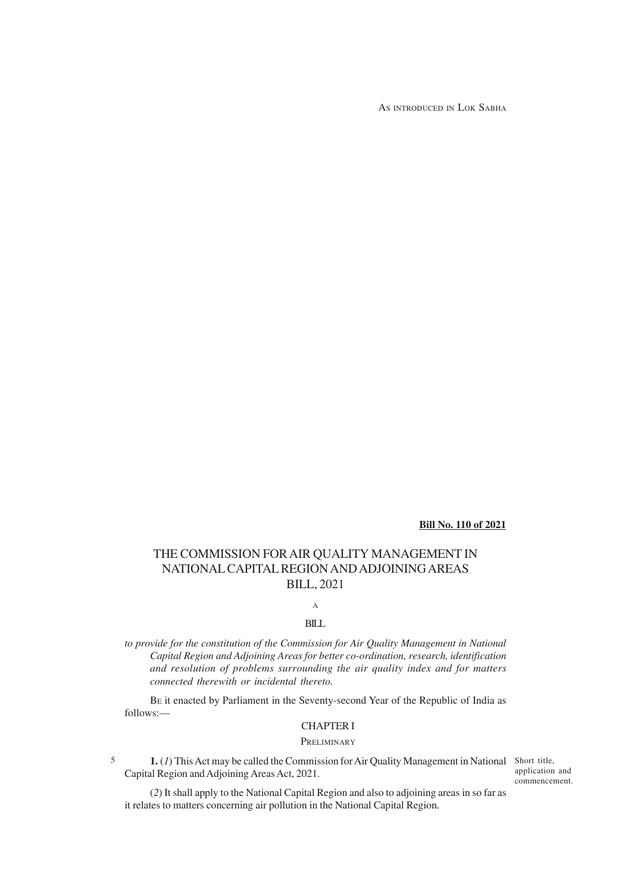AS INTRODUCED IN LOK SABHA

**Bill No. 110 of 2021**

# THE COMMISSION FOR AIR QUALITY MANAGEMENT IN NATIONAL CAPITAL REGION AND ADJOINING AREAS BILL, 2021

### A

## BILL

*to provide for the constitution of the Commission for Air Quality Management in National Capital Region and Adjoining Areas for better co-ordination, research, identification and resolution of problems surrounding the air quality index and for matters connected therewith or incidental thereto.*

BE it enacted by Parliament in the Seventy-second Year of the Republic of India as follows:––

# CHAPTER I

#### **PRELIMINARY**

**1.** (*1*) This Act may be called the Commission for Air Quality Management in National Short title, Capital Region and Adjoining Areas Act, 2021.

5

application and commencement.

(*2*) It shall apply to the National Capital Region and also to adjoining areas in so far as it relates to matters concerning air pollution in the National Capital Region.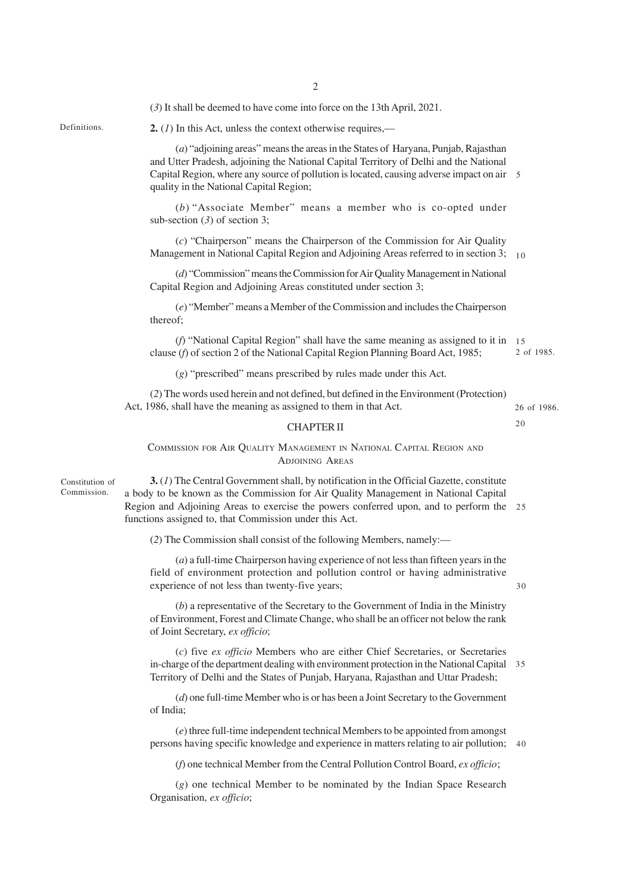2

(*3*) It shall be deemed to have come into force on the 13th April, 2021.

**Definitions** 

**2.** (*1*) In this Act, unless the context otherwise requires,––

(*a*) "adjoining areas" means the areas in the States of Haryana, Punjab, Rajasthan and Utter Pradesh, adjoining the National Capital Territory of Delhi and the National Capital Region, where any source of pollution is located, causing adverse impact on air 5 quality in the National Capital Region;

(*b*) "Associate Member" means a member who is co-opted under sub-section (*3*) of section 3;

(*c*) "Chairperson" means the Chairperson of the Commission for Air Quality Management in National Capital Region and Adjoining Areas referred to in section 3; 10

(*d*) "Commission" means the Commission for Air Quality Management in National Capital Region and Adjoining Areas constituted under section 3;

(*e*) "Member" means a Member of the Commission and includes the Chairperson thereof;

(*f*) "National Capital Region" shall have the same meaning as assigned to it in 15 clause (*f*) of section 2 of the National Capital Region Planning Board Act, 1985; 2 of 1985.

(*g*) "prescribed" means prescribed by rules made under this Act.

(*2*) The words used herein and not defined, but defined in the Environment (Protection) Act, 1986, shall have the meaning as assigned to them in that Act.

26 of 1986. 20

30

### CHAPTER II

COMMISSION FOR AIR QUALITY MANAGEMENT IN NATIONAL CAPITAL REGION AND ADJOINING AREAS

Constitution of Commission.

**3.** (*1*) The Central Government shall, by notification in the Official Gazette, constitute a body to be known as the Commission for Air Quality Management in National Capital Region and Adjoining Areas to exercise the powers conferred upon, and to perform the 25 functions assigned to, that Commission under this Act.

(*2*) The Commission shall consist of the following Members, namely:––

(*a*) a full-time Chairperson having experience of not less than fifteen years in the field of environment protection and pollution control or having administrative experience of not less than twenty-five years;

(*b*) a representative of the Secretary to the Government of India in the Ministry of Environment, Forest and Climate Change, who shall be an officer not below the rank of Joint Secretary, *ex officio*;

(*c*) five *ex officio* Members who are either Chief Secretaries, or Secretaries in-charge of the department dealing with environment protection in the National Capital 35 Territory of Delhi and the States of Punjab, Haryana, Rajasthan and Uttar Pradesh;

(*d*) one full-time Member who is or has been a Joint Secretary to the Government of India;

(*e*) three full-time independent technical Members to be appointed from amongst persons having specific knowledge and experience in matters relating to air pollution; 40

(*f*) one technical Member from the Central Pollution Control Board, *ex officio*;

(*g*) one technical Member to be nominated by the Indian Space Research Organisation, *ex officio*;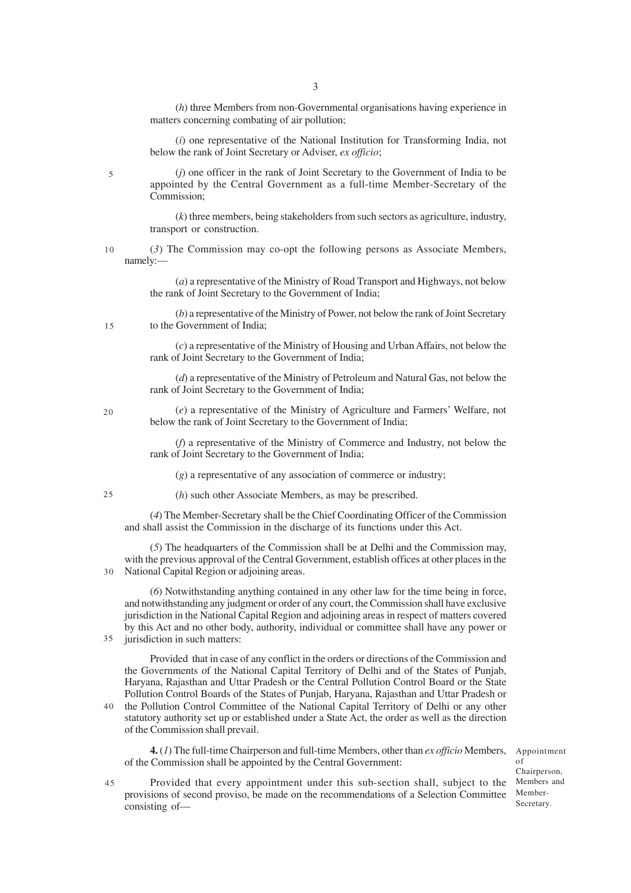(*h*) three Members from non-Governmental organisations having experience in matters concerning combating of air pollution;

(*i*) one representative of the National Institution for Transforming India, not below the rank of Joint Secretary or Adviser, *ex officio*;

(*j*) one officer in the rank of Joint Secretary to the Government of India to be appointed by the Central Government as a full-time Member-Secretary of the Commission;

(*k*) three members, being stakeholders from such sectors as agriculture, industry, transport or construction.

(*3*) The Commission may co-opt the following persons as Associate Members, namely:— 10

> (*a*) a representative of the Ministry of Road Transport and Highways, not below the rank of Joint Secretary to the Government of India;

(*b*) a representative of the Ministry of Power, not below the rank of Joint Secretary to the Government of India;

(*c*) a representative of the Ministry of Housing and Urban Affairs, not below the rank of Joint Secretary to the Government of India;

(*d*) a representative of the Ministry of Petroleum and Natural Gas, not below the rank of Joint Secretary to the Government of India;

 $20$ 

15

5

(*e*) a representative of the Ministry of Agriculture and Farmers' Welfare, not below the rank of Joint Secretary to the Government of India;

(*f*) a representative of the Ministry of Commerce and Industry, not below the rank of Joint Secretary to the Government of India;

(*g*) a representative of any association of commerce or industry;

 $25$ 

(*h*) such other Associate Members, as may be prescribed.

(*4*) The Member-Secretary shall be the Chief Coordinating Officer of the Commission and shall assist the Commission in the discharge of its functions under this Act.

(*5*) The headquarters of the Commission shall be at Delhi and the Commission may, with the previous approval of the Central Government, establish offices at other places in the National Capital Region or adjoining areas. 30

(*6*) Notwithstanding anything contained in any other law for the time being in force, and notwithstanding any judgment or order of any court, the Commission shall have exclusive jurisdiction in the National Capital Region and adjoining areas in respect of matters covered by this Act and no other body, authority, individual or committee shall have any power or jurisdiction in such matters:

Provided that in case of any conflict in the orders or directions of the Commission and the Governments of the National Capital Territory of Delhi and of the States of Punjab, Haryana, Rajasthan and Uttar Pradesh or the Central Pollution Control Board or the State Pollution Control Boards of the States of Punjab, Haryana, Rajasthan and Uttar Pradesh or the Pollution Control Committee of the National Capital Territory of Delhi or any other statutory authority set up or established under a State Act, the order as well as the direction

of the Commission shall prevail.

**4.** (*1*) The full-time Chairperson and full-time Members, other than *ex officio* Members, of the Commission shall be appointed by the Central Government:

of Chairperson, Members and Member-

Secretary.

Appointment

Provided that every appointment under this sub-section shall, subject to the provisions of second proviso, be made on the recommendations of a Selection Committee consisting of— 45

35

 $40<sup>1</sup>$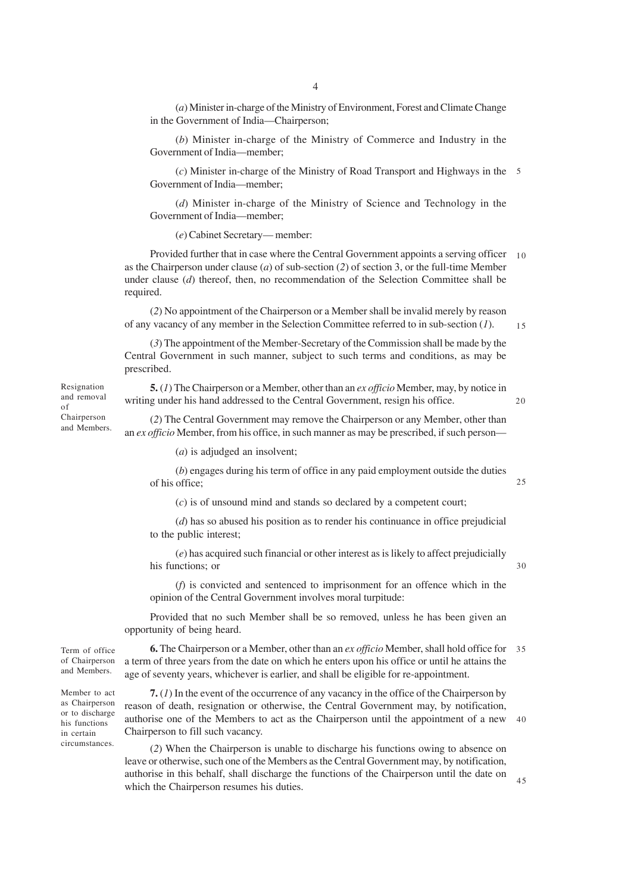(*a*) Minister in-charge of the Ministry of Environment, Forest and Climate Change in the Government of India––Chairperson;

(*b*) Minister in-charge of the Ministry of Commerce and Industry in the Government of India––member;

(*c*) Minister in-charge of the Ministry of Road Transport and Highways in the 5 Government of India—member;

(*d*) Minister in-charge of the Ministry of Science and Technology in the Government of India––member;

(*e*) Cabinet Secretary–– member:

Provided further that in case where the Central Government appoints a serving officer 10 as the Chairperson under clause (*a*) of sub-section (*2*) of section 3, or the full-time Member under clause (*d*) thereof, then, no recommendation of the Selection Committee shall be required.

(*2*) No appointment of the Chairperson or a Member shall be invalid merely by reason of any vacancy of any member in the Selection Committee referred to in sub-section (*1*).

15

(*3*) The appointment of the Member-Secretary of the Commission shall be made by the Central Government in such manner, subject to such terms and conditions, as may be prescribed.

**5.** (*1*) The Chairperson or a Member, other than an *ex officio* Member, may, by notice in writing under his hand addressed to the Central Government, resign his office.

20

25

30

(*2*) The Central Government may remove the Chairperson or any Member, other than an *ex officio* Member, from his office, in such manner as may be prescribed, if such person—

(*a*) is adjudged an insolvent;

(*b*) engages during his term of office in any paid employment outside the duties of his office;

(*c*) is of unsound mind and stands so declared by a competent court;

(*d*) has so abused his position as to render his continuance in office prejudicial to the public interest;

(*e*) has acquired such financial or other interest as is likely to affect prejudicially his functions; or

(*f*) is convicted and sentenced to imprisonment for an offence which in the opinion of the Central Government involves moral turpitude:

Provided that no such Member shall be so removed, unless he has been given an opportunity of being heard.

Term of office of Chairperson and Members.

Member to act as Chairperson or to discharge his functions in certain circumstances.

**6.** The Chairperson or a Member, other than an *ex officio* Member, shall hold office for 35 a term of three years from the date on which he enters upon his office or until he attains the age of seventy years, whichever is earlier, and shall be eligible for re-appointment.

**7.** (*1*) In the event of the occurrence of any vacancy in the office of the Chairperson by reason of death, resignation or otherwise, the Central Government may, by notification, authorise one of the Members to act as the Chairperson until the appointment of a new 40 Chairperson to fill such vacancy.

(*2*) When the Chairperson is unable to discharge his functions owing to absence on leave or otherwise, such one of the Members as the Central Government may, by notification, authorise in this behalf, shall discharge the functions of the Chairperson until the date on which the Chairperson resumes his duties. 45

Resignation and removal of Chairperson and Members.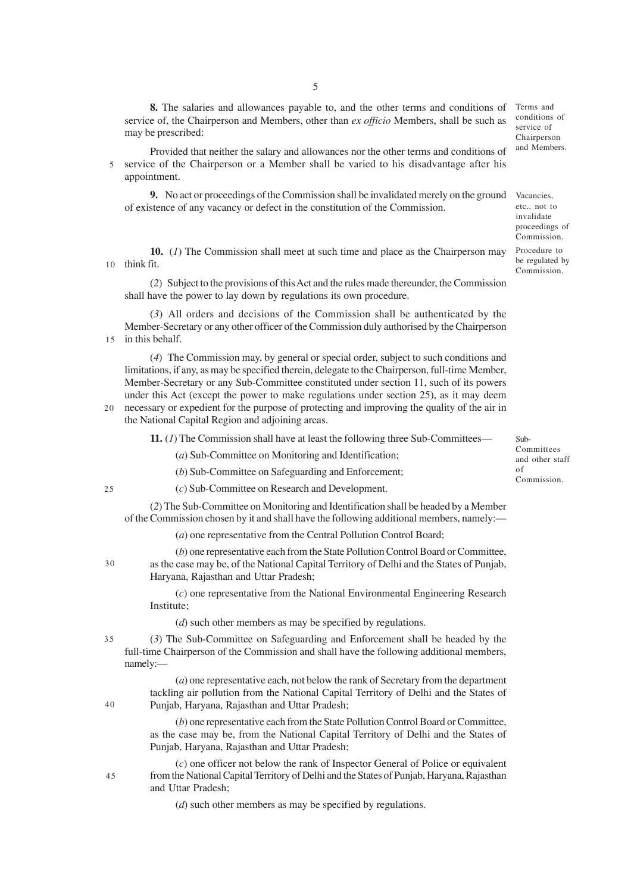**8.** The salaries and allowances payable to, and the other terms and conditions of service of, the Chairperson and Members, other than *ex officio* Members, shall be such as may be prescribed:

Provided that neither the salary and allowances nor the other terms and conditions of service of the Chairperson or a Member shall be varied to his disadvantage after his appointment. 5

**9.** No act or proceedings of the Commission shall be invalidated merely on the ground of existence of any vacancy or defect in the constitution of the Commission.

**10.** (*1*) The Commission shall meet at such time and place as the Chairperson may 10 think fit.

(*2*) Subject to the provisions of this Act and the rules made thereunder, the Commission shall have the power to lay down by regulations its own procedure.

(*3*) All orders and decisions of the Commission shall be authenticated by the Member-Secretary or any other officer of the Commission duly authorised by the Chairperson 15 in this behalf.

(*4*) The Commission may, by general or special order, subject to such conditions and limitations, if any, as may be specified therein, delegate to the Chairperson, full-time Member, Member-Secretary or any Sub-Committee constituted under section 11, such of its powers under this Act (except the power to make regulations under section 25), as it may deem necessary or expedient for the purpose of protecting and improving the quality of the air in

the National Capital Region and adjoining areas.

**11.** (*1*) The Commission shall have at least the following three Sub-Committees—

(*a*) Sub-Committee on Monitoring and Identification;

Sub-Committees and other staff of Commission.

(*b*) Sub-Committee on Safeguarding and Enforcement;

(*c*) Sub-Committee on Research and Development.

(*2*) The Sub-Committee on Monitoring and Identification shall be headed by a Member of the Commission chosen by it and shall have the following additional members, namely:—

(*a*) one representative from the Central Pollution Control Board;

(*b*) one representative each from the State Pollution Control Board or Committee, as the case may be, of the National Capital Territory of Delhi and the States of Punjab, Haryana, Rajasthan and Uttar Pradesh;

(*c*) one representative from the National Environmental Engineering Research Institute;

(*d*) such other members as may be specified by regulations.

35

40

45

30

20

25

(*3*) The Sub-Committee on Safeguarding and Enforcement shall be headed by the full-time Chairperson of the Commission and shall have the following additional members, namely:—

(*a*) one representative each, not below the rank of Secretary from the department tackling air pollution from the National Capital Territory of Delhi and the States of Punjab, Haryana, Rajasthan and Uttar Pradesh;

(*b*) one representative each from the State Pollution Control Board or Committee, as the case may be, from the National Capital Territory of Delhi and the States of Punjab, Haryana, Rajasthan and Uttar Pradesh;

(*c*) one officer not below the rank of Inspector General of Police or equivalent from the National Capital Territory of Delhi and the States of Punjab, Haryana, Rajasthan and Uttar Pradesh;

(*d*) such other members as may be specified by regulations.

Terms and conditions of service of Chairperson and Members.

Vacancies, etc., not to invalidate proceedings of Commission. Procedure to be regulated by Commission.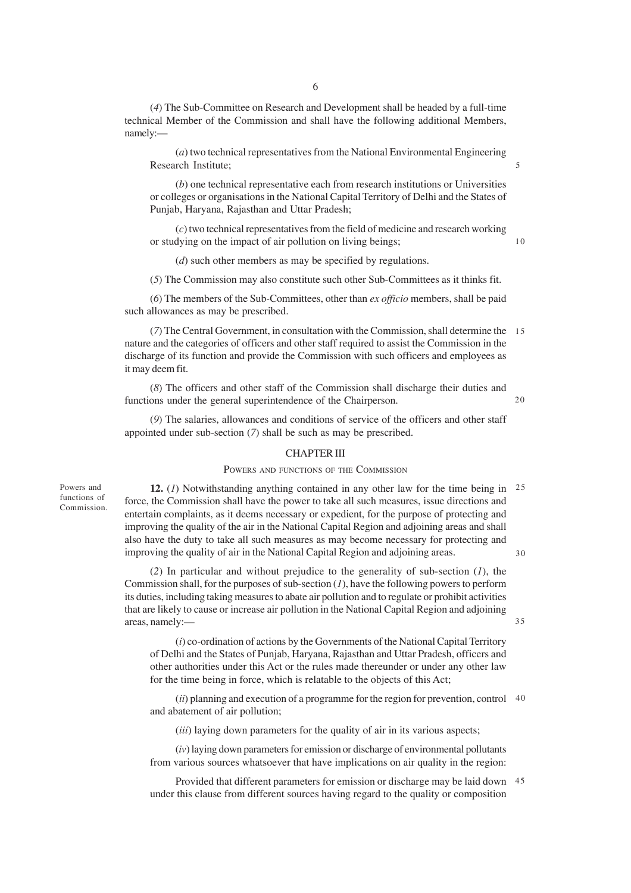(*4*) The Sub-Committee on Research and Development shall be headed by a full-time technical Member of the Commission and shall have the following additional Members, namely:—

(*a*) two technical representatives from the National Environmental Engineering Research Institute;

5

10

 $20$ 

35

(*b*) one technical representative each from research institutions or Universities or colleges or organisations in the National Capital Territory of Delhi and the States of Punjab, Haryana, Rajasthan and Uttar Pradesh;

(*c*) two technical representatives from the field of medicine and research working or studying on the impact of air pollution on living beings;

(*d*) such other members as may be specified by regulations.

(*5*) The Commission may also constitute such other Sub-Committees as it thinks fit.

(*6*) The members of the Sub-Committees, other than *ex officio* members, shall be paid such allowances as may be prescribed.

(*7*) The Central Government, in consultation with the Commission, shall determine the 15 nature and the categories of officers and other staff required to assist the Commission in the discharge of its function and provide the Commission with such officers and employees as it may deem fit.

(*8*) The officers and other staff of the Commission shall discharge their duties and functions under the general superintendence of the Chairperson.

(*9*) The salaries, allowances and conditions of service of the officers and other staff appointed under sub-section (*7*) shall be such as may be prescribed.

### CHAPTER III

#### POWERS AND FUNCTIONS OF THE COMMISSION

Powers and functions of Commission.

**12.** (*1*) Notwithstanding anything contained in any other law for the time being in 25 force, the Commission shall have the power to take all such measures, issue directions and entertain complaints, as it deems necessary or expedient, for the purpose of protecting and improving the quality of the air in the National Capital Region and adjoining areas and shall also have the duty to take all such measures as may become necessary for protecting and improving the quality of air in the National Capital Region and adjoining areas. 30

(*2*) In particular and without prejudice to the generality of sub-section (*1*), the Commission shall, for the purposes of sub-section (*1*), have the following powers to perform its duties, including taking measures to abate air pollution and to regulate or prohibit activities that are likely to cause or increase air pollution in the National Capital Region and adjoining areas, namely:—

(*i*) co-ordination of actions by the Governments of the National Capital Territory of Delhi and the States of Punjab, Haryana, Rajasthan and Uttar Pradesh, officers and other authorities under this Act or the rules made thereunder or under any other law for the time being in force, which is relatable to the objects of this Act;

(*ii*) planning and execution of a programme for the region for prevention, control 40 and abatement of air pollution;

(*iii*) laying down parameters for the quality of air in its various aspects;

(*iv*) laying down parameters for emission or discharge of environmental pollutants from various sources whatsoever that have implications on air quality in the region:

Provided that different parameters for emission or discharge may be laid down 45under this clause from different sources having regard to the quality or composition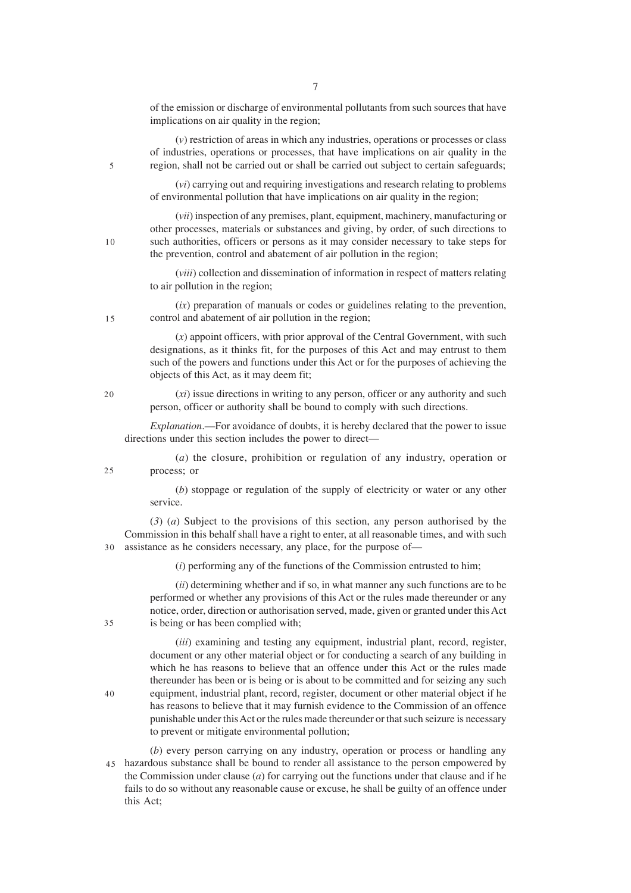of the emission or discharge of environmental pollutants from such sources that have implications on air quality in the region;

(*v*) restriction of areas in which any industries, operations or processes or class of industries, operations or processes, that have implications on air quality in the region, shall not be carried out or shall be carried out subject to certain safeguards;

(*vi*) carrying out and requiring investigations and research relating to problems of environmental pollution that have implications on air quality in the region;

(*vii*) inspection of any premises, plant, equipment, machinery, manufacturing or other processes, materials or substances and giving, by order, of such directions to such authorities, officers or persons as it may consider necessary to take steps for the prevention, control and abatement of air pollution in the region;

(*viii*) collection and dissemination of information in respect of matters relating to air pollution in the region;

(*ix*) preparation of manuals or codes or guidelines relating to the prevention, control and abatement of air pollution in the region;

(*x*) appoint officers, with prior approval of the Central Government, with such designations, as it thinks fit, for the purposes of this Act and may entrust to them such of the powers and functions under this Act or for the purposes of achieving the objects of this Act, as it may deem fit;

(*xi*) issue directions in writing to any person, officer or any authority and such person, officer or authority shall be bound to comply with such directions.

*Explanation*.—For avoidance of doubts, it is hereby declared that the power to issue directions under this section includes the power to direct—

(*a*) the closure, prohibition or regulation of any industry, operation or process; or

(*b*) stoppage or regulation of the supply of electricity or water or any other service.

(*3*) (*a*) Subject to the provisions of this section, any person authorised by the Commission in this behalf shall have a right to enter, at all reasonable times, and with such assistance as he considers necessary, any place, for the purpose of— 30

(*i*) performing any of the functions of the Commission entrusted to him;

(*ii*) determining whether and if so, in what manner any such functions are to be performed or whether any provisions of this Act or the rules made thereunder or any notice, order, direction or authorisation served, made, given or granted under this Act is being or has been complied with;

(*iii*) examining and testing any equipment, industrial plant, record, register, document or any other material object or for conducting a search of any building in which he has reasons to believe that an offence under this Act or the rules made thereunder has been or is being or is about to be committed and for seizing any such equipment, industrial plant, record, register, document or other material object if he has reasons to believe that it may furnish evidence to the Commission of an offence punishable under this Act or the rules made thereunder or that such seizure is necessary to prevent or mitigate environmental pollution;

(*b*) every person carrying on any industry, operation or process or handling any hazardous substance shall be bound to render all assistance to the person empowered by 45the Commission under clause (*a*) for carrying out the functions under that clause and if he fails to do so without any reasonable cause or excuse, he shall be guilty of an offence under this Act;

20

25

5

10

15

35

40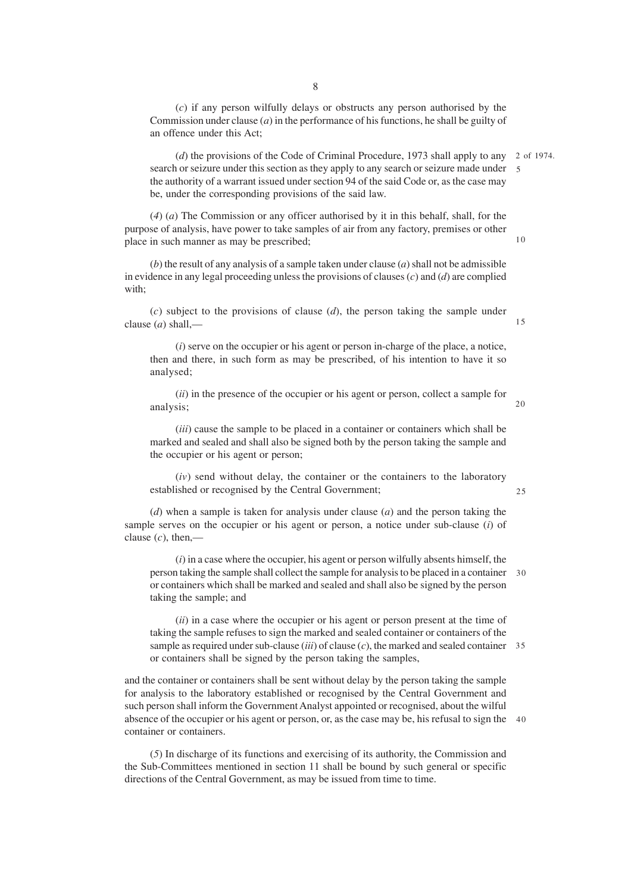(*c*) if any person wilfully delays or obstructs any person authorised by the Commission under clause (*a*) in the performance of his functions, he shall be guilty of an offence under this Act;

(*d*) the provisions of the Code of Criminal Procedure, 1973 shall apply to any 2 of 1974. search or seizure under this section as they apply to any search or seizure made under 5 the authority of a warrant issued under section 94 of the said Code or, as the case may be, under the corresponding provisions of the said law.

(*4*) (*a*) The Commission or any officer authorised by it in this behalf, shall, for the purpose of analysis, have power to take samples of air from any factory, premises or other place in such manner as may be prescribed;

(*b*) the result of any analysis of a sample taken under clause (*a*) shall not be admissible in evidence in any legal proceeding unless the provisions of clauses (*c*) and (*d*) are complied with;

(*c*) subject to the provisions of clause (*d*), the person taking the sample under clause (*a*) shall,—

(*i*) serve on the occupier or his agent or person in-charge of the place, a notice, then and there, in such form as may be prescribed, of his intention to have it so analysed;

(*ii*) in the presence of the occupier or his agent or person, collect a sample for analysis;

(*iii*) cause the sample to be placed in a container or containers which shall be marked and sealed and shall also be signed both by the person taking the sample and the occupier or his agent or person;

(*iv*) send without delay, the container or the containers to the laboratory established or recognised by the Central Government;

(*d*) when a sample is taken for analysis under clause (*a*) and the person taking the sample serves on the occupier or his agent or person, a notice under sub-clause (*i*) of clause  $(c)$ , then,—

(*i*) in a case where the occupier, his agent or person wilfully absents himself, the person taking the sample shall collect the sample for analysis to be placed in a container 30 or containers which shall be marked and sealed and shall also be signed by the person taking the sample; and

(*ii*) in a case where the occupier or his agent or person present at the time of taking the sample refuses to sign the marked and sealed container or containers of the sample as required under sub-clause (*iii*) of clause (*c*), the marked and sealed container 35 or containers shall be signed by the person taking the samples,

and the container or containers shall be sent without delay by the person taking the sample for analysis to the laboratory established or recognised by the Central Government and such person shall inform the Government Analyst appointed or recognised, about the wilful absence of the occupier or his agent or person, or, as the case may be, his refusal to sign the 40container or containers.

(*5*) In discharge of its functions and exercising of its authority, the Commission and the Sub-Committees mentioned in section 11 shall be bound by such general or specific directions of the Central Government, as may be issued from time to time.

15

20

25

10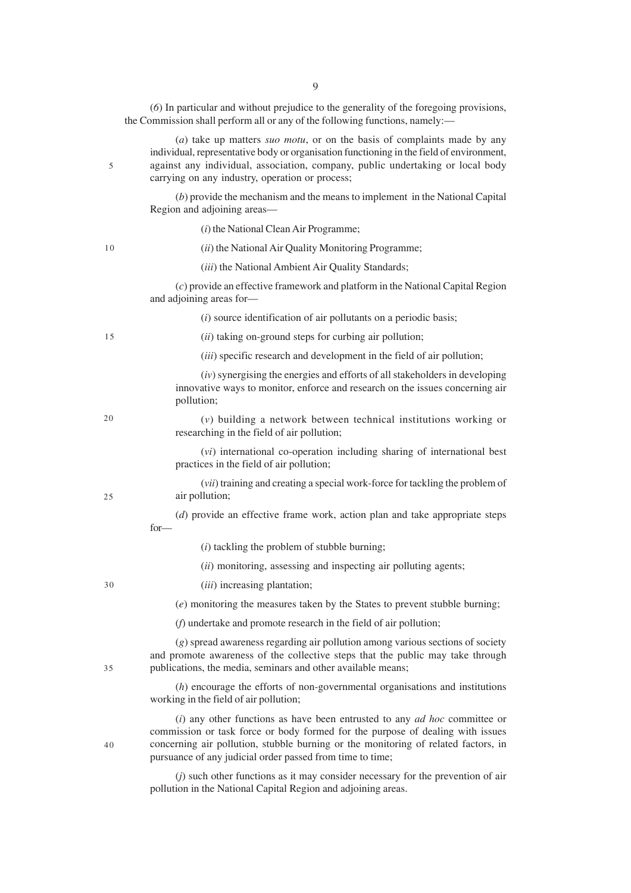|    | (6) In particular and without prejudice to the generality of the foregoing provisions,<br>the Commission shall perform all or any of the following functions, namely:—                                                                                                                                                  |
|----|-------------------------------------------------------------------------------------------------------------------------------------------------------------------------------------------------------------------------------------------------------------------------------------------------------------------------|
| 5  | (a) take up matters <i>suo motu</i> , or on the basis of complaints made by any<br>individual, representative body or organisation functioning in the field of environment,<br>against any individual, association, company, public undertaking or local body<br>carrying on any industry, operation or process;        |
|    | $(b)$ provide the mechanism and the means to implement in the National Capital<br>Region and adjoining areas—                                                                                                                                                                                                           |
|    | (i) the National Clean Air Programme;                                                                                                                                                                                                                                                                                   |
| 10 | (ii) the National Air Quality Monitoring Programme;                                                                                                                                                                                                                                                                     |
|    | (iii) the National Ambient Air Quality Standards;                                                                                                                                                                                                                                                                       |
|    | $(c)$ provide an effective framework and platform in the National Capital Region<br>and adjoining areas for-                                                                                                                                                                                                            |
|    | $(i)$ source identification of air pollutants on a periodic basis;                                                                                                                                                                                                                                                      |
| 15 | (ii) taking on-ground steps for curbing air pollution;                                                                                                                                                                                                                                                                  |
|    | ( <i>iii</i> ) specific research and development in the field of air pollution;                                                                                                                                                                                                                                         |
|    | $(iv)$ synergising the energies and efforts of all stakeholders in developing<br>innovative ways to monitor, enforce and research on the issues concerning air<br>pollution;                                                                                                                                            |
| 20 | (v) building a network between technical institutions working or<br>researching in the field of air pollution;                                                                                                                                                                                                          |
|    | (vi) international co-operation including sharing of international best<br>practices in the field of air pollution;                                                                                                                                                                                                     |
| 25 | ( <i>vii</i> ) training and creating a special work-force for tackling the problem of<br>air pollution;                                                                                                                                                                                                                 |
|    | $(d)$ provide an effective frame work, action plan and take appropriate steps<br>$for-$                                                                                                                                                                                                                                 |
|    | $(i)$ tackling the problem of stubble burning;                                                                                                                                                                                                                                                                          |
|    | (ii) monitoring, assessing and inspecting air polluting agents;                                                                                                                                                                                                                                                         |
| 30 | (iii) increasing plantation;                                                                                                                                                                                                                                                                                            |
|    | (e) monitoring the measures taken by the States to prevent stubble burning;                                                                                                                                                                                                                                             |
|    | $(f)$ undertake and promote research in the field of air pollution;                                                                                                                                                                                                                                                     |
| 35 | $(g)$ spread awareness regarding air pollution among various sections of society<br>and promote awareness of the collective steps that the public may take through<br>publications, the media, seminars and other available means;                                                                                      |
|    | $(h)$ encourage the efforts of non-governmental organisations and institutions<br>working in the field of air pollution;                                                                                                                                                                                                |
| 40 | $(i)$ any other functions as have been entrusted to any <i>ad hoc</i> committee or<br>commission or task force or body formed for the purpose of dealing with issues<br>concerning air pollution, stubble burning or the monitoring of related factors, in<br>pursuance of any judicial order passed from time to time; |
|    | $\hat{a}$ and other functions as it may consider perceptly for the prevention of air                                                                                                                                                                                                                                    |

(*j*) such other functions as it may consider necessary for the prevention of air pollution in the National Capital Region and adjoining areas.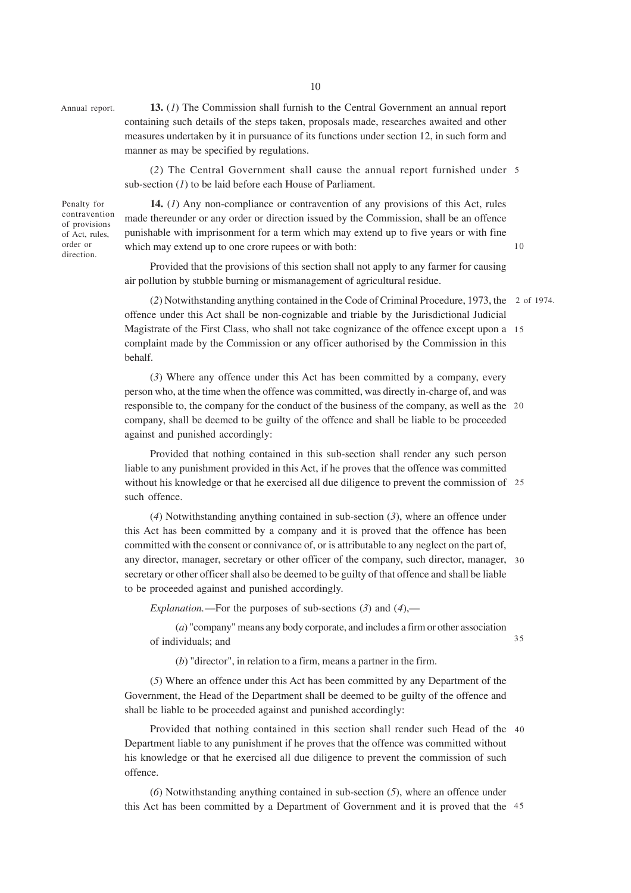Annual report.

**13.** (*1*) The Commission shall furnish to the Central Government an annual report containing such details of the steps taken, proposals made, researches awaited and other measures undertaken by it in pursuance of its functions under section 12, in such form and manner as may be specified by regulations.

(*2*) The Central Government shall cause the annual report furnished under 5 sub-section (*1*) to be laid before each House of Parliament.

Penalty for contravention of provisions of Act, rules, order or direction.

**14.** (*1*) Any non-compliance or contravention of any provisions of this Act, rules made thereunder or any order or direction issued by the Commission, shall be an offence punishable with imprisonment for a term which may extend up to five years or with fine which may extend up to one crore rupees or with both:

Provided that the provisions of this section shall not apply to any farmer for causing air pollution by stubble burning or mismanagement of agricultural residue.

(*2*) Notwithstanding anything contained in the Code of Criminal Procedure, 1973, the 2 of 1974.

35

10

offence under this Act shall be non-cognizable and triable by the Jurisdictional Judicial Magistrate of the First Class, who shall not take cognizance of the offence except upon a 15 complaint made by the Commission or any officer authorised by the Commission in this behalf.

(*3*) Where any offence under this Act has been committed by a company, every person who, at the time when the offence was committed, was directly in-charge of, and was responsible to, the company for the conduct of the business of the company, as well as the 20 company, shall be deemed to be guilty of the offence and shall be liable to be proceeded against and punished accordingly:

Provided that nothing contained in this sub-section shall render any such person liable to any punishment provided in this Act, if he proves that the offence was committed without his knowledge or that he exercised all due diligence to prevent the commission of 25 such offence.

(*4*) Notwithstanding anything contained in sub-section (*3*), where an offence under this Act has been committed by a company and it is proved that the offence has been committed with the consent or connivance of, or is attributable to any neglect on the part of, any director, manager, secretary or other officer of the company, such director, manager, 30 secretary or other officer shall also be deemed to be guilty of that offence and shall be liable to be proceeded against and punished accordingly.

*Explanation.*—For the purposes of sub-sections (*3*) and (*4*),—

(*a*) "company" means any body corporate, and includes a firm or other association of individuals; and

(*b*) "director", in relation to a firm, means a partner in the firm.

(*5*) Where an offence under this Act has been committed by any Department of the Government, the Head of the Department shall be deemed to be guilty of the offence and shall be liable to be proceeded against and punished accordingly:

Provided that nothing contained in this section shall render such Head of the 40 Department liable to any punishment if he proves that the offence was committed without his knowledge or that he exercised all due diligence to prevent the commission of such offence.

(*6*) Notwithstanding anything contained in sub-section (*5*), where an offence under this Act has been committed by a Department of Government and it is proved that the 45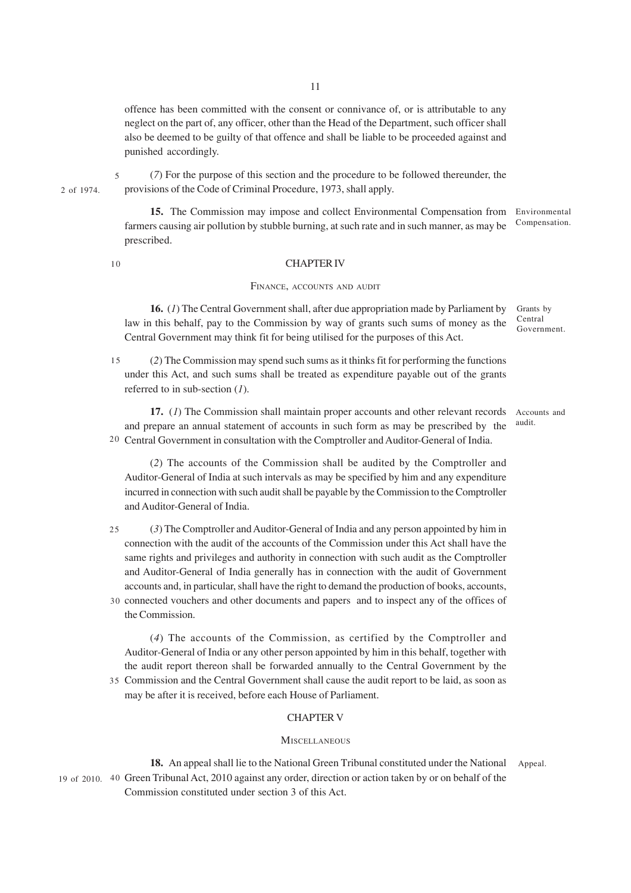offence has been committed with the consent or connivance of, or is attributable to any neglect on the part of, any officer, other than the Head of the Department, such officer shall also be deemed to be guilty of that offence and shall be liable to be proceeded against and punished accordingly.

2 of 1974.

(*7*) For the purpose of this section and the procedure to be followed thereunder, the provisions of the Code of Criminal Procedure, 1973, shall apply.

**15.** The Commission may impose and collect Environmental Compensation from farmers causing air pollution by stubble burning, at such rate and in such manner, as may be prescribed. Environmental Compensation.

10

5

# CHAPTER IV

### FINANCE, ACCOUNTS AND AUDIT

**16.** (*1*) The Central Government shall, after due appropriation made by Parliament by law in this behalf, pay to the Commission by way of grants such sums of money as the Central Government may think fit for being utilised for the purposes of this Act.

(*2*) The Commission may spend such sums as it thinks fit for performing the functions under this Act, and such sums shall be treated as expenditure payable out of the grants referred to in sub-section (*1*). 15

**17.** (*1*) The Commission shall maintain proper accounts and other relevant records and prepare an annual statement of accounts in such form as may be prescribed by the 20 Central Government in consultation with the Comptroller and Auditor-General of India. audit.

(*2*) The accounts of the Commission shall be audited by the Comptroller and Auditor-General of India at such intervals as may be specified by him and any expenditure incurred in connection with such audit shall be payable by the Commission to the Comptroller and Auditor-General of India.

- (*3*) The Comptroller and Auditor-General of India and any person appointed by him in connection with the audit of the accounts of the Commission under this Act shall have the same rights and privileges and authority in connection with such audit as the Comptroller and Auditor-General of India generally has in connection with the audit of Government accounts and, in particular, shall have the right to demand the production of books, accounts, 30 connected vouchers and other documents and papers and to inspect any of the offices of 25
- the Commission.

(*4*) The accounts of the Commission, as certified by the Comptroller and Auditor-General of India or any other person appointed by him in this behalf, together with the audit report thereon shall be forwarded annually to the Central Government by the Commission and the Central Government shall cause the audit report to be laid, as soon as 35 may be after it is received, before each House of Parliament.

#### CHAPTER V

#### **MISCELLANEOUS**

**18.** An appeal shall lie to the National Green Tribunal constituted under the National 19 of 2010. 40 Green Tribunal Act, 2010 against any order, direction or action taken by or on behalf of the Commission constituted under section 3 of this Act. Appeal.

Grants by Central Government.

Accounts and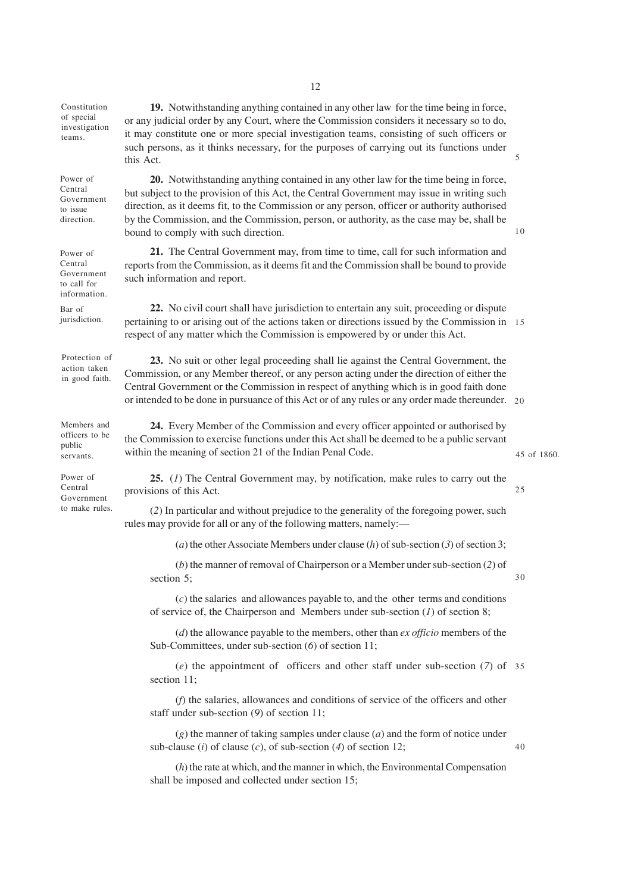| Constitution<br>of special<br>investigation<br>teams.            | 19. Notwithstanding anything contained in any other law for the time being in force,<br>or any judicial order by any Court, where the Commission considers it necessary so to do,<br>it may constitute one or more special investigation teams, consisting of such officers or<br>such persons, as it thinks necessary, for the purposes of carrying out its functions under<br>this Act.                               | 5           |
|------------------------------------------------------------------|-------------------------------------------------------------------------------------------------------------------------------------------------------------------------------------------------------------------------------------------------------------------------------------------------------------------------------------------------------------------------------------------------------------------------|-------------|
| Power of<br>Central<br>Government<br>to issue<br>direction.      | 20. Notwithstanding anything contained in any other law for the time being in force,<br>but subject to the provision of this Act, the Central Government may issue in writing such<br>direction, as it deems fit, to the Commission or any person, officer or authority authorised<br>by the Commission, and the Commission, person, or authority, as the case may be, shall be<br>bound to comply with such direction. | 10          |
| Power of<br>Central<br>Government<br>to call for<br>information. | 21. The Central Government may, from time to time, call for such information and<br>reports from the Commission, as it deems fit and the Commission shall be bound to provide<br>such information and report.                                                                                                                                                                                                           |             |
| Bar of<br>jurisdiction.                                          | 22. No civil court shall have jurisdiction to entertain any suit, proceeding or dispute<br>pertaining to or arising out of the actions taken or directions issued by the Commission in 15<br>respect of any matter which the Commission is empowered by or under this Act.                                                                                                                                              |             |
| Protection of<br>action taken<br>in good faith.                  | 23. No suit or other legal proceeding shall lie against the Central Government, the<br>Commission, or any Member thereof, or any person acting under the direction of either the<br>Central Government or the Commission in respect of anything which is in good faith done<br>or intended to be done in pursuance of this Act or of any rules or any order made thereunder. 20                                         |             |
| Members and<br>officers to be<br>public<br>servants.             | 24. Every Member of the Commission and every officer appointed or authorised by<br>the Commission to exercise functions under this Act shall be deemed to be a public servant<br>within the meaning of section 21 of the Indian Penal Code.                                                                                                                                                                             | 45 of 1860. |
| Power of<br>Central<br>Government                                | 25. (1) The Central Government may, by notification, make rules to carry out the<br>provisions of this Act.                                                                                                                                                                                                                                                                                                             | 25          |
| to make rules.                                                   | (2) In particular and without prejudice to the generality of the foregoing power, such<br>rules may provide for all or any of the following matters, namely:—                                                                                                                                                                                                                                                           |             |
|                                                                  | (a) the other Associate Members under clause (h) of sub-section (3) of section 3;                                                                                                                                                                                                                                                                                                                                       |             |
|                                                                  | (b) the manner of removal of Chairperson or a Member under sub-section $(2)$ of<br>section 5;                                                                                                                                                                                                                                                                                                                           | 30          |

(*c*) the salaries and allowances payable to, and the other terms and conditions of service of, the Chairperson and Members under sub-section (*1*) of section 8;

(*d*) the allowance payable to the members, other than *ex officio* members of the Sub-Committees, under sub-section (*6*) of section 11;

(*e*) the appointment of officers and other staff under sub-section (*7*) of 35 section 11;

(*f*) the salaries, allowances and conditions of service of the officers and other staff under sub-section (*9*) of section 11;

(*g*) the manner of taking samples under clause (*a*) and the form of notice under sub-clause (*i*) of clause (*c*), of sub-section (*4*) of section 12;

40

(*h*) the rate at which, and the manner in which, the Environmental Compensation shall be imposed and collected under section 15;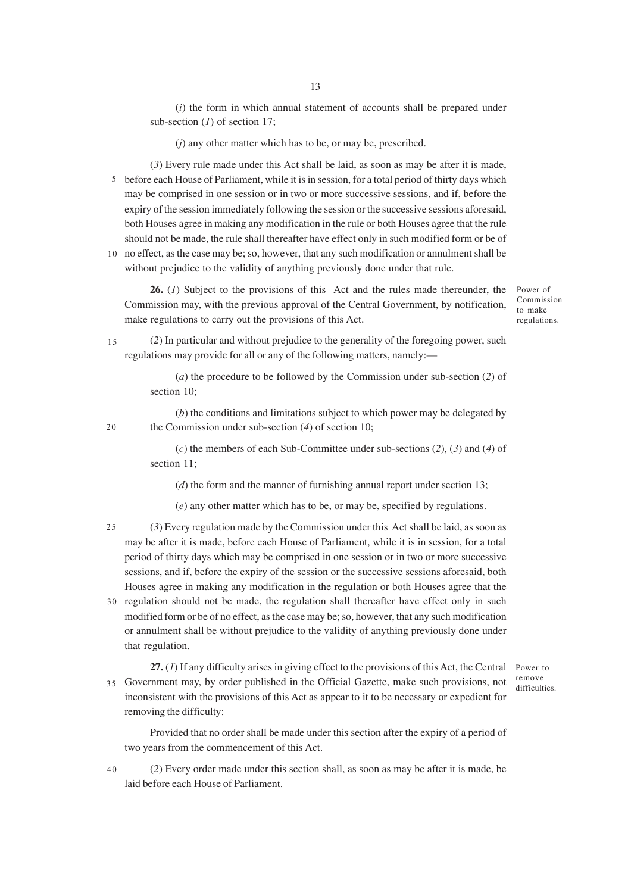(*i*) the form in which annual statement of accounts shall be prepared under sub-section (*1*) of section 17;

(*j*) any other matter which has to be, or may be, prescribed.

(*3*) Every rule made under this Act shall be laid, as soon as may be after it is made, before each House of Parliament, while it is in session, for a total period of thirty days which 5 may be comprised in one session or in two or more successive sessions, and if, before the expiry of the session immediately following the session or the successive sessions aforesaid, both Houses agree in making any modification in the rule or both Houses agree that the rule should not be made, the rule shall thereafter have effect only in such modified form or be of

no effect, as the case may be; so, however, that any such modification or annulment shall be 10 without prejudice to the validity of anything previously done under that rule.

**26.** (*1*) Subject to the provisions of this Act and the rules made thereunder, the Commission may, with the previous approval of the Central Government, by notification, make regulations to carry out the provisions of this Act.

Power of Commission to make regulations.

(*2*) In particular and without prejudice to the generality of the foregoing power, such regulations may provide for all or any of the following matters, namely:— 15

> (*a*) the procedure to be followed by the Commission under sub-section (*2*) of section 10;

(*b*) the conditions and limitations subject to which power may be delegated by the Commission under sub-section (*4*) of section 10;

(*c*) the members of each Sub-Committee under sub-sections (*2*), (*3*) and (*4*) of section 11;

(*d*) the form and the manner of furnishing annual report under section 13;

(*e*) any other matter which has to be, or may be, specified by regulations.

(*3*) Every regulation made by the Commission under this Act shall be laid, as soon as may be after it is made, before each House of Parliament, while it is in session, for a total period of thirty days which may be comprised in one session or in two or more successive sessions, and if, before the expiry of the session or the successive sessions aforesaid, both Houses agree in making any modification in the regulation or both Houses agree that the 25

30 regulation should not be made, the regulation shall thereafter have effect only in such modified form or be of no effect, as the case may be; so, however, that any such modification or annulment shall be without prejudice to the validity of anything previously done under that regulation.

**27.** (*1*) If any difficulty arises in giving effect to the provisions of this Act, the Central Government may, by order published in the Official Gazette, make such provisions, not 35 inconsistent with the provisions of this Act as appear to it to be necessary or expedient for removing the difficulty:

Power to remove difficulties.

Provided that no order shall be made under this section after the expiry of a period of two years from the commencement of this Act.

(*2*) Every order made under this section shall, as soon as may be after it is made, be laid before each House of Parliament. 40

20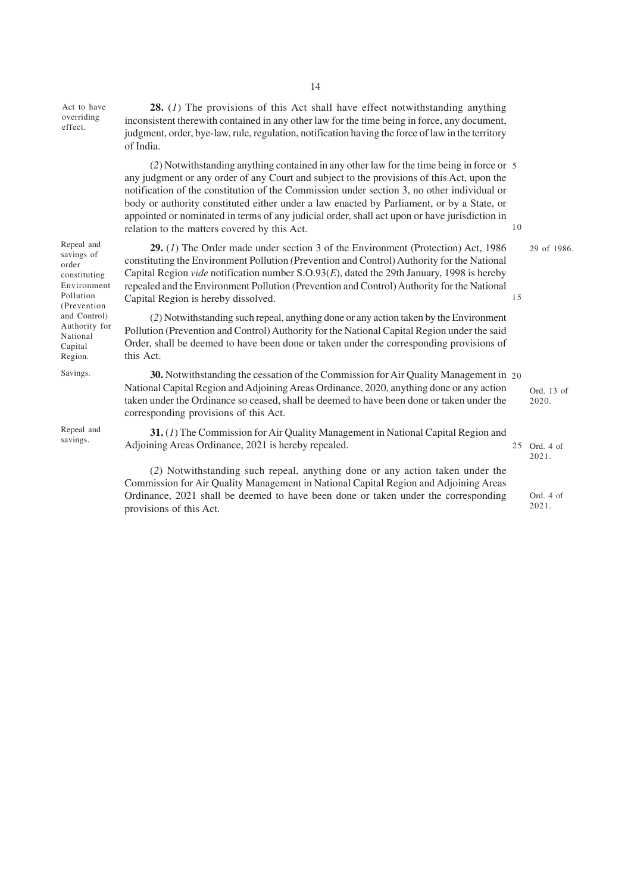Act to have overriding effect.

**28.** (*1*) The provisions of this Act shall have effect notwithstanding anything inconsistent therewith contained in any other law for the time being in force, any document, judgment, order, bye-law, rule, regulation, notification having the force of law in the territory of India.

(*2*) Notwithstanding anything contained in any other law for the time being in force or 5 any judgment or any order of any Court and subject to the provisions of this Act, upon the notification of the constitution of the Commission under section 3, no other individual or body or authority constituted either under a law enacted by Parliament, or by a State, or appointed or nominated in terms of any judicial order, shall act upon or have jurisdiction in relation to the matters covered by this Act. 10

**29.** (*1*) The Order made under section 3 of the Environment (Protection) Act, 1986 constituting the Environment Pollution (Prevention and Control) Authority for the National Capital Region *vide* notification number S.O.93(*E*), dated the 29th January, 1998 is hereby repealed and the Environment Pollution (Prevention and Control) Authority for the National Capital Region is hereby dissolved. (*2*) Notwithstanding such repeal, anything done or any action taken by the Environment Pollution (Prevention and Control) Authority for the National Capital Region under the said Order, shall be deemed to have been done or taken under the corresponding provisions of this Act. **30.** Notwithstanding the cessation of the Commission for Air Quality Management in 20 29 of 1986. 15

National Capital Region and Adjoining Areas Ordinance, 2020, anything done or any action taken under the Ordinance so ceased, shall be deemed to have been done or taken under the corresponding provisions of this Act. Ord. 13 of 2020.

2021.

**31.** (*1*) The Commission for Air Quality Management in National Capital Region and Adjoining Areas Ordinance, 2021 is hereby repealed. Ord. 4 of 25

(*2*) Notwithstanding such repeal, anything done or any action taken under the Commission for Air Quality Management in National Capital Region and Adjoining Areas Ordinance, 2021 shall be deemed to have been done or taken under the corresponding provisions of this Act. Ord. 4 of 2021.

Repeal and savings of order constituting Environment Pollution (Prevention and Control) Authority for National Capital Region.

Savings.

Repeal and savings.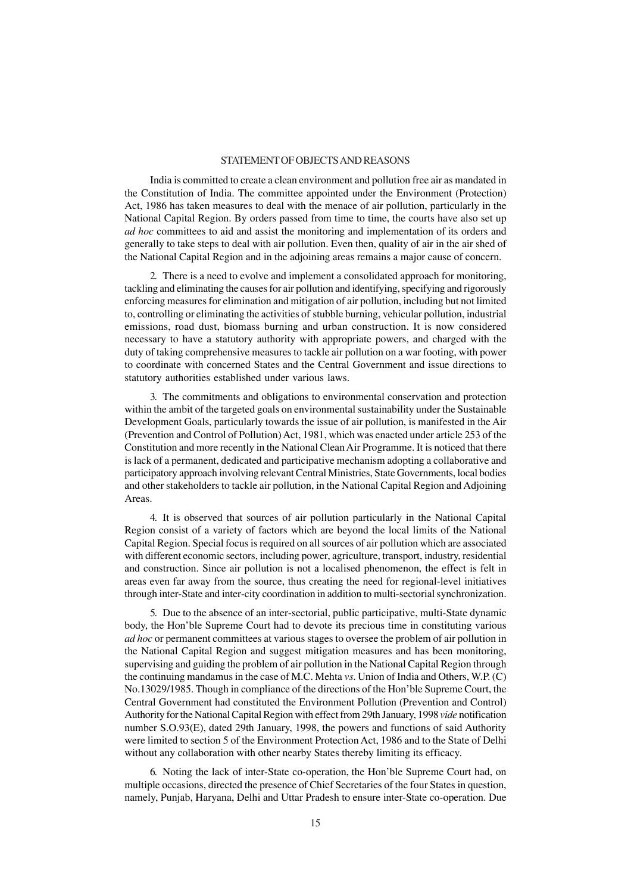#### STATEMENT OF OBJECTS AND REASONS

India is committed to create a clean environment and pollution free air as mandated in the Constitution of India. The committee appointed under the Environment (Protection) Act, 1986 has taken measures to deal with the menace of air pollution, particularly in the National Capital Region. By orders passed from time to time, the courts have also set up *ad hoc* committees to aid and assist the monitoring and implementation of its orders and generally to take steps to deal with air pollution. Even then, quality of air in the air shed of the National Capital Region and in the adjoining areas remains a major cause of concern.

2. There is a need to evolve and implement a consolidated approach for monitoring, tackling and eliminating the causes for air pollution and identifying, specifying and rigorously enforcing measures for elimination and mitigation of air pollution, including but not limited to, controlling or eliminating the activities of stubble burning, vehicular pollution, industrial emissions, road dust, biomass burning and urban construction. It is now considered necessary to have a statutory authority with appropriate powers, and charged with the duty of taking comprehensive measures to tackle air pollution on a war footing, with power to coordinate with concerned States and the Central Government and issue directions to statutory authorities established under various laws.

3. The commitments and obligations to environmental conservation and protection within the ambit of the targeted goals on environmental sustainability under the Sustainable Development Goals, particularly towards the issue of air pollution, is manifested in the Air (Prevention and Control of Pollution) Act, 1981, which was enacted under article 253 of the Constitution and more recently in the National Clean Air Programme. It is noticed that there is lack of a permanent, dedicated and participative mechanism adopting a collaborative and participatory approach involving relevant Central Ministries, State Governments, local bodies and other stakeholders to tackle air pollution, in the National Capital Region and Adjoining Areas.

4. It is observed that sources of air pollution particularly in the National Capital Region consist of a variety of factors which are beyond the local limits of the National Capital Region. Special focus is required on all sources of air pollution which are associated with different economic sectors, including power, agriculture, transport, industry, residential and construction. Since air pollution is not a localised phenomenon, the effect is felt in areas even far away from the source, thus creating the need for regional-level initiatives through inter-State and inter-city coordination in addition to multi-sectorial synchronization.

5. Due to the absence of an inter-sectorial, public participative, multi-State dynamic body, the Hon'ble Supreme Court had to devote its precious time in constituting various *ad hoc* or permanent committees at various stages to oversee the problem of air pollution in the National Capital Region and suggest mitigation measures and has been monitoring, supervising and guiding the problem of air pollution in the National Capital Region through the continuing mandamus in the case of M.C. Mehta *vs*. Union of India and Others, W.P. (C) No.13029/1985. Though in compliance of the directions of the Hon'ble Supreme Court, the Central Government had constituted the Environment Pollution (Prevention and Control) Authority for the National Capital Region with effect from 29th January, 1998 *vide* notification number S.O.93(E), dated 29th January, 1998, the powers and functions of said Authority were limited to section 5 of the Environment Protection Act, 1986 and to the State of Delhi without any collaboration with other nearby States thereby limiting its efficacy.

6. Noting the lack of inter-State co-operation, the Hon'ble Supreme Court had, on multiple occasions, directed the presence of Chief Secretaries of the four States in question, namely, Punjab, Haryana, Delhi and Uttar Pradesh to ensure inter-State co-operation. Due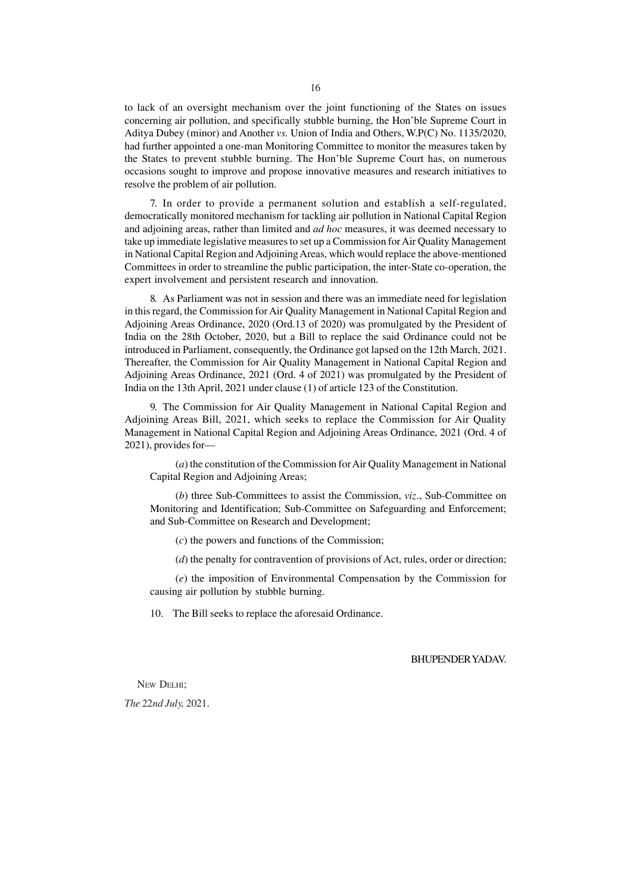to lack of an oversight mechanism over the joint functioning of the States on issues concerning air pollution, and specifically stubble burning, the Hon'ble Supreme Court in Aditya Dubey (minor) and Another *vs.* Union of India and Others, W.P(C) No. 1135/2020, had further appointed a one-man Monitoring Committee to monitor the measures taken by the States to prevent stubble burning. The Hon'ble Supreme Court has, on numerous occasions sought to improve and propose innovative measures and research initiatives to resolve the problem of air pollution.

7. In order to provide a permanent solution and establish a self-regulated, democratically monitored mechanism for tackling air pollution in National Capital Region and adjoining areas, rather than limited and *ad hoc* measures, it was deemed necessary to take up immediate legislative measures to set up a Commission for Air Quality Management in National Capital Region and Adjoining Areas, which would replace the above-mentioned Committees in order to streamline the public participation, the inter-State co-operation, the expert involvement and persistent research and innovation.

8. As Parliament was not in session and there was an immediate need for legislation in this regard, the Commission for Air Quality Management in National Capital Region and Adjoining Areas Ordinance, 2020 (Ord.13 of 2020) was promulgated by the President of India on the 28th October, 2020, but a Bill to replace the said Ordinance could not be introduced in Parliament, consequently, the Ordinance got lapsed on the 12th March, 2021. Thereafter, the Commission for Air Quality Management in National Capital Region and Adjoining Areas Ordinance, 2021 (Ord. 4 of 2021) was promulgated by the President of India on the 13th April, 2021 under clause (1) of article 123 of the Constitution.

9. The Commission for Air Quality Management in National Capital Region and Adjoining Areas Bill, 2021, which seeks to replace the Commission for Air Quality Management in National Capital Region and Adjoining Areas Ordinance, 2021 (Ord. 4 of 2021), provides for––

(*a*) the constitution of the Commission for Air Quality Management in National Capital Region and Adjoining Areas;

(*b*) three Sub-Committees to assist the Commission, *viz*., Sub-Committee on Monitoring and Identification; Sub-Committee on Safeguarding and Enforcement; and Sub-Committee on Research and Development;

(*c*) the powers and functions of the Commission;

(*d*) the penalty for contravention of provisions of Act, rules, order or direction;

(*e*) the imposition of Environmental Compensation by the Commission for causing air pollution by stubble burning.

10. The Bill seeks to replace the aforesaid Ordinance.

BHUPENDER YADAV.

NEW DELHI;

*The* 22*nd July,* 2021.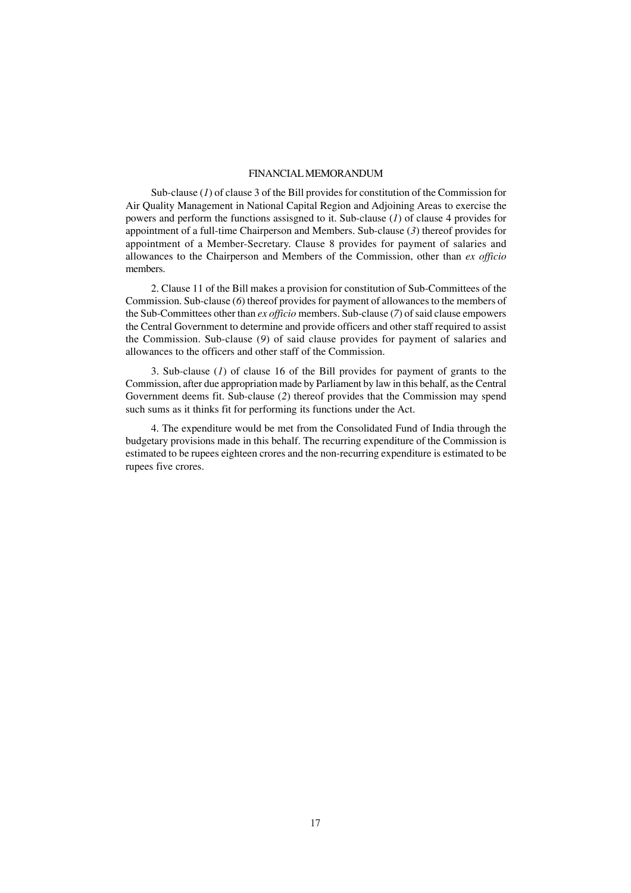### FINANCIAL MEMORANDUM

Sub-clause (*1*) of clause 3 of the Bill provides for constitution of the Commission for Air Quality Management in National Capital Region and Adjoining Areas to exercise the powers and perform the functions assisgned to it. Sub-clause (*1*) of clause 4 provides for appointment of a full-time Chairperson and Members. Sub-clause (*3*) thereof provides for appointment of a Member-Secretary. Clause 8 provides for payment of salaries and allowances to the Chairperson and Members of the Commission, other than *ex officio* members.

2. Clause 11 of the Bill makes a provision for constitution of Sub-Committees of the Commission. Sub-clause (*6*) thereof provides for payment of allowances to the members of the Sub-Committees other than *ex officio* members. Sub-clause (*7*) of said clause empowers the Central Government to determine and provide officers and other staff required to assist the Commission. Sub-clause (*9*) of said clause provides for payment of salaries and allowances to the officers and other staff of the Commission.

3. Sub-clause (*1*) of clause 16 of the Bill provides for payment of grants to the Commission, after due appropriation made by Parliament by law in this behalf, as the Central Government deems fit. Sub-clause (*2*) thereof provides that the Commission may spend such sums as it thinks fit for performing its functions under the Act.

4. The expenditure would be met from the Consolidated Fund of India through the budgetary provisions made in this behalf. The recurring expenditure of the Commission is estimated to be rupees eighteen crores and the non-recurring expenditure is estimated to be rupees five crores.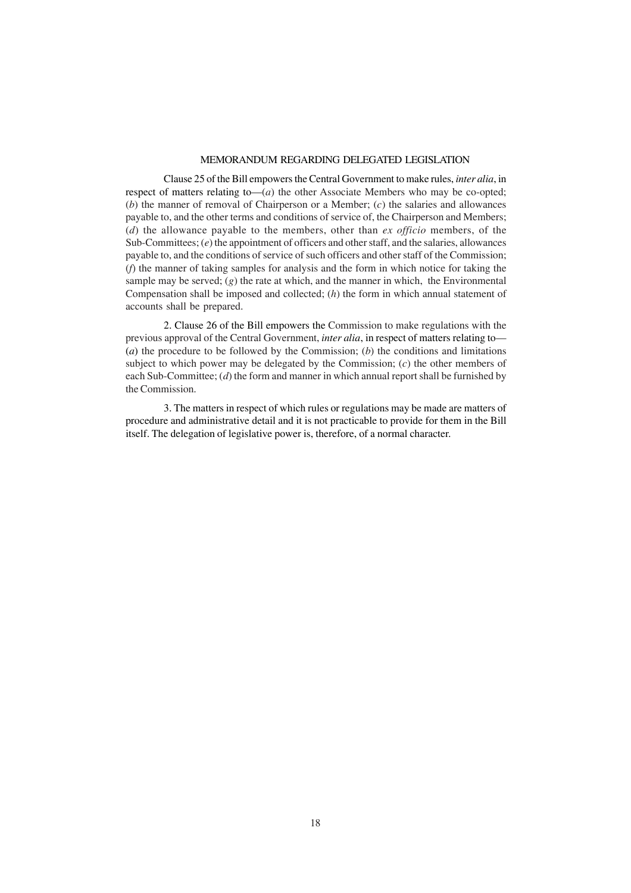#### MEMORANDUM REGARDING DELEGATED LEGISLATION

Clause 25 of the Bill empowers the Central Government to make rules, *inter alia*, in respect of matters relating to— $(a)$  the other Associate Members who may be co-opted; (*b*) the manner of removal of Chairperson or a Member; (*c*) the salaries and allowances payable to, and the other terms and conditions of service of, the Chairperson and Members; (*d*) the allowance payable to the members, other than *ex officio* members, of the Sub-Committees;  $(e)$  the appointment of officers and other staff, and the salaries, allowances payable to, and the conditions of service of such officers and other staff of the Commission; (*f*) the manner of taking samples for analysis and the form in which notice for taking the sample may be served;  $(g)$  the rate at which, and the manner in which, the Environmental Compensation shall be imposed and collected; (*h*) the form in which annual statement of accounts shall be prepared.

2. Clause 26 of the Bill empowers the Commission to make regulations with the previous approval of the Central Government, *inter alia*, in respect of matters relating to— (*a*) the procedure to be followed by the Commission; (*b*) the conditions and limitations subject to which power may be delegated by the Commission; (*c*) the other members of each Sub-Committee; (*d*) the form and manner in which annual report shall be furnished by the Commission.

3. The matters in respect of which rules or regulations may be made are matters of procedure and administrative detail and it is not practicable to provide for them in the Bill itself. The delegation of legislative power is, therefore, of a normal character.